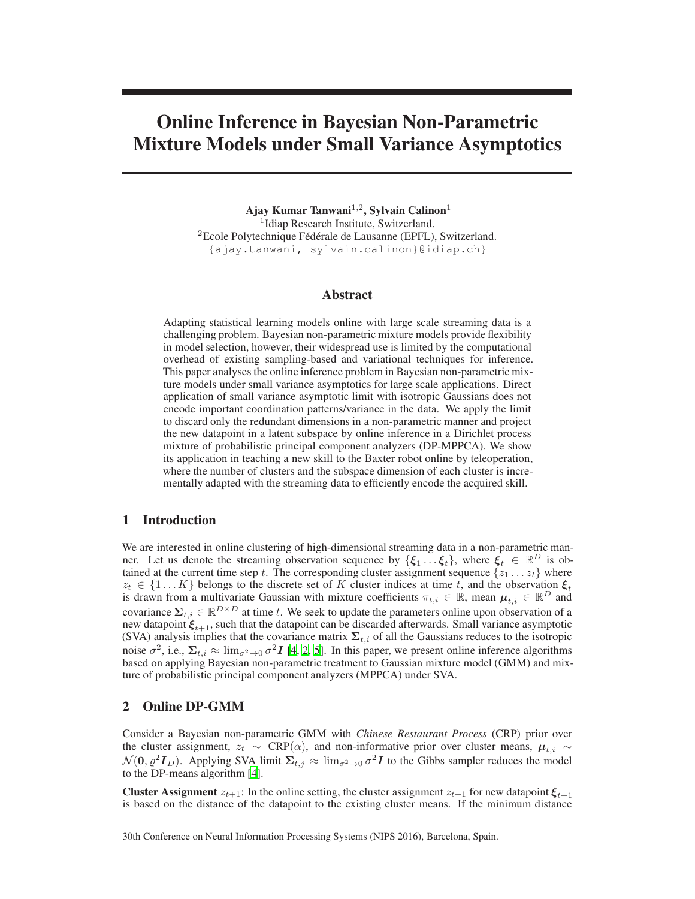# Online Inference in Bayesian Non-Parametric Mixture Models under Small Variance Asymptotics

Ajay Kumar Tanwani $^{1,2}$ , Sylvain Calinon $^1$ 1 Idiap Research Institute, Switzerland. <sup>2</sup>Ecole Polytechnique Fédérale de Lausanne (EPFL), Switzerland. {ajay.tanwani, sylvain.calinon}@idiap.ch}

## Abstract

Adapting statistical learning models online with large scale streaming data is a challenging problem. Bayesian non-parametric mixture models provide flexibility in model selection, however, their widespread use is limited by the computational overhead of existing sampling-based and variational techniques for inference. This paper analyses the online inference problem in Bayesian non-parametric mixture models under small variance asymptotics for large scale applications. Direct application of small variance asymptotic limit with isotropic Gaussians does not encode important coordination patterns/variance in the data. We apply the limit to discard only the redundant dimensions in a non-parametric manner and project the new datapoint in a latent subspace by online inference in a Dirichlet process mixture of probabilistic principal component analyzers (DP-MPPCA). We show its application in teaching a new skill to the Baxter robot online by teleoperation, where the number of clusters and the subspace dimension of each cluster is incrementally adapted with the streaming data to efficiently encode the acquired skill.

### 1 Introduction

We are interested in online clustering of high-dimensional streaming data in a non-parametric manner. Let us denote the streaming observation sequence by  $\{\xi_1 \dots \xi_t\}$ , where  $\xi_t \in \mathbb{R}^D$  is obtained at the current time step t. The corresponding cluster assignment sequence  $\{z_1 \ldots z_t\}$  where  $z_t \in \{1...K\}$  belongs to the discrete set of K cluster indices at time t, and the observation  $\xi_t$ is drawn from a multivariate Gaussian with mixture coefficients  $\pi_{t,i} \in \mathbb{R}$ , mean  $\mu_{t,i} \in \mathbb{R}^D$  and covariance  $\sum_{t,i} \in \mathbb{R}^{D \times D}$  at time t. We seek to update the parameters online upon observation of a new datapoint  $\xi_{t+1}$ , such that the datapoint can be discarded afterwards. Small variance asymptotic (SVA) analysis implies that the covariance matrix  $\Sigma_{t,i}$  of all the Gaussians reduces to the isotropic noise  $\sigma^2$ , i.e.,  $\Sigma_{t,i} \approx \lim_{\sigma^2 \to 0} \sigma^2 I$  [\[4](#page-4-0), [2,](#page-4-1) [5](#page-4-2)]. In this paper, we present online inference algorithms based on applying Bayesian non-parametric treatment to Gaussian mixture model (GMM) and mixture of probabilistic principal component analyzers (MPPCA) under SVA.

## 2 Online DP-GMM

Consider a Bayesian non-parametric GMM with *Chinese Restaurant Process* (CRP) prior over the cluster assignment,  $z_t \sim \text{CRP}(\alpha)$ , and non-informative prior over cluster means,  $\mu_{t,i} \sim$  $\mathcal{N}(0, \varrho^2 I_D)$ . Applying SVA limit  $\Sigma_{t,j} \approx \lim_{\sigma^2 \to 0} \sigma^2 I$  to the Gibbs sampler reduces the model to the DP-means algorithm [\[4\]](#page-4-0).

**Cluster Assignment**  $z_{t+1}$ : In the online setting, the cluster assignment  $z_{t+1}$  for new datapoint  $\xi_{t+1}$ is based on the distance of the datapoint to the existing cluster means. If the minimum distance

30th Conference on Neural Information Processing Systems (NIPS 2016), Barcelona, Spain.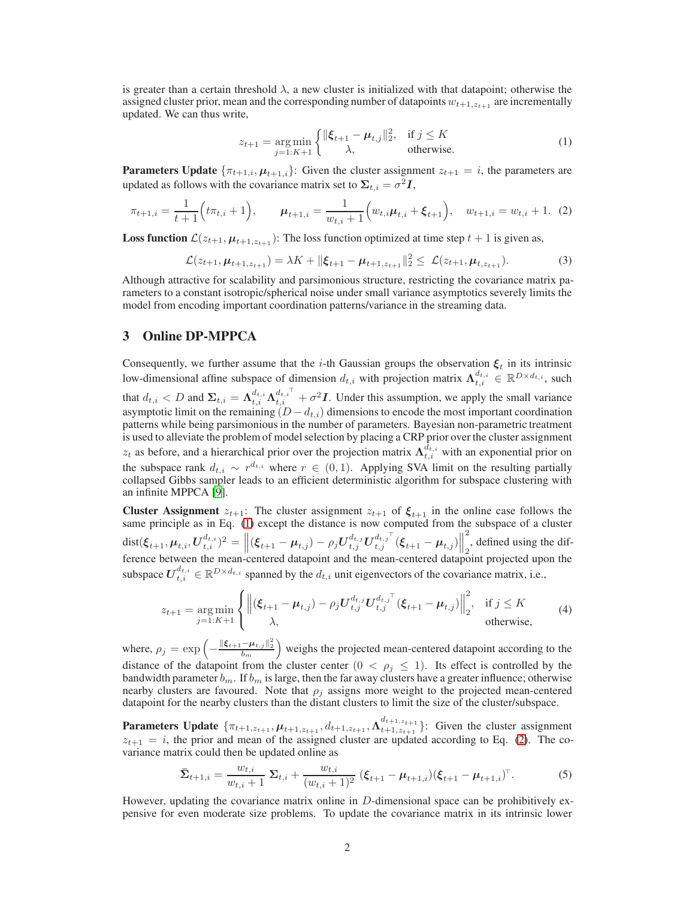is greater than a certain threshold  $\lambda$ , a new cluster is initialized with that datapoint; otherwise the assigned cluster prior, mean and the corresponding number of datapoints  $w_{t+1,z_{t+1}}$  are incrementally updated. We can thus write,

<span id="page-1-1"></span><span id="page-1-0"></span>
$$
z_{t+1} = \underset{j=1:K+1}{\arg\min} \begin{cases} \|\xi_{t+1} - \mu_{t,j}\|_2^2, & \text{if } j \le K\\ \lambda, & \text{otherwise.} \end{cases}
$$
(1)

**Parameters Update**  $\{\pi_{t+1,i}, \mu_{t+1,i}\}$ : Given the cluster assignment  $z_{t+1} = i$ , the parameters are updated as follows with the covariance matrix set to  $\Sigma_{t,i} = \sigma^2 I$ ,

$$
\pi_{t+1,i} = \frac{1}{t+1} \Big( t \pi_{t,i} + 1 \Big), \qquad \mu_{t+1,i} = \frac{1}{w_{t,i}+1} \Big( w_{t,i} \mu_{t,i} + \xi_{t+1} \Big), \quad w_{t+1,i} = w_{t,i} + 1. \tag{2}
$$

**Loss function**  $\mathcal{L}(z_{t+1}, \mu_{t+1, z_{t+1}})$ : The loss function optimized at time step  $t+1$  is given as,

$$
\mathcal{L}(z_{t+1}, \mu_{t+1, z_{t+1}}) = \lambda K + ||\boldsymbol{\xi}_{t+1} - \boldsymbol{\mu}_{t+1, z_{t+1}}||_2^2 \leq \mathcal{L}(z_{t+1}, \mu_{t, z_{t+1}}). \tag{3}
$$

Although attractive for scalability and parsimonious structure, restricting the covariance matrix parameters to a constant isotropic/spherical noise under small variance asymptotics severely limits the model from encoding important coordination patterns/variance in the streaming data.

## 3 Online DP-MPPCA

Consequently, we further assume that the *i*-th Gaussian groups the observation  $\xi_t$  in its intrinsic low-dimensional affine subspace of dimension  $d_{t,i}$  with projection matrix  $\Lambda_{t,i}^{d_{t,i}} \in \mathbb{R}^{D \times d_{t,i}}$ , such that  $d_{t,i} < D$  and  $\Sigma_{t,i} = \Lambda_{t,i}^{d_{t,i}} \Lambda_{t,i}^{d_{t,i}} + \sigma^2 I$ . Under this assumption, we apply the small variance asymptotic limit on the remaining  $(D - d_{t,i})$  dimensions to encode the most important coordination patterns while being parsimonious in the number of parameters. Bayesian non-parametric treatment is used to alleviate the problem of model selection by placing a CRP prior over the cluster assignment  $z_t$  as before, and a hierarchical prior over the projection matrix  $\Lambda_{t,i}^{d_{t,i}}$  with an exponential prior on the subspace rank  $d_{t,i} \sim r^{d_{t,i}}$  where  $r \in (0,1)$ . Applying SVA limit on the resulting partially collapsed Gibbs sampler leads to an efficient deterministic algorithm for subspace clustering with an infinite MPPCA [\[9](#page-4-3)].

**Cluster Assignment**  $z_{t+1}$ : The cluster assignment  $z_{t+1}$  of  $\xi_{t+1}$  in the online case follows the same principle as in Eq. [\(1\)](#page-1-0) except the distance is now computed from the subspace of a cluster  $\text{dist}(\xi_{t+1}, \mu_{t,i}, U_{t,i}^{d_{t,i}})^2 = \left\| (\xi_{t+1} - \mu_{t,j}) - \rho_j U_{t,j}^{d_{t,j}} U_{t,j}^{d_{t,j}} (\xi_{t+1} - \mu_{t,j}) \right\|$ 2  $_2$ , defined using the difference between the mean-centered datapoint and the mean-centered datapoint projected upon the subspace  $\bm{U}_{t,i}^{d_{t,i}} \in \mathbb{R}^{D \times d_{t,i}}$  spanned by the  $d_{t,i}$  unit eigenvectors of the covariance matrix, i.e.,

$$
z_{t+1} = \underset{j=1:K+1}{\arg\min} \left\{ \left\| (\xi_{t+1} - \mu_{t,j}) - \rho_j U_{t,j}^{d_{t,j}} U_{t,j}^{d_{t,j}^T} (\xi_{t+1} - \mu_{t,j}) \right\|_2^2, \text{ if } j \leq K \right\}
$$
(4)

where,  $\rho_j = \exp\left(-\frac{\|\xi_{t+1} - \mu_{t,j}\|_2^2}{b_m}\right)$  weighs the projected mean-centered datapoint according to the distance of the datapoint from the cluster center  $(0 < \rho_j \leq 1)$ . Its effect is controlled by the bandwidth parameter  $b_m$ . If  $b_m$  is large, then the far away clusters have a greater influence; otherwise nearby clusters are favoured. Note that  $\rho_i$  assigns more weight to the projected mean-centered datapoint for the nearby clusters than the distant clusters to limit the size of the cluster/subspace.

**Parameters Update**  $\{\pi_{t+1,z_{t+1}}, \mu_{t+1,z_{t+1}}, d_{t+1,z_{t+1}}, \Lambda_{t+1,z_{t+1}}^{d_{t+1,z_{t+1}}} \}$ : Given the cluster assignment  $z_{t+1} = i$ , the prior and mean of the assigned cluster are updated according to Eq. [\(2\)](#page-1-1). The covariance matrix could then be updated online as

<span id="page-1-2"></span>
$$
\bar{\mathbf{\Sigma}}_{t+1,i} = \frac{w_{t,i}}{w_{t,i}+1} \ \mathbf{\Sigma}_{t,i} + \frac{w_{t,i}}{(w_{t,i}+1)^2} \ (\boldsymbol{\xi}_{t+1} - \boldsymbol{\mu}_{t+1,i}) (\boldsymbol{\xi}_{t+1} - \boldsymbol{\mu}_{t+1,i})^{\top}.
$$
 (5)

However, updating the covariance matrix online in  $D$ -dimensional space can be prohibitively expensive for even moderate size problems. To update the covariance matrix in its intrinsic lower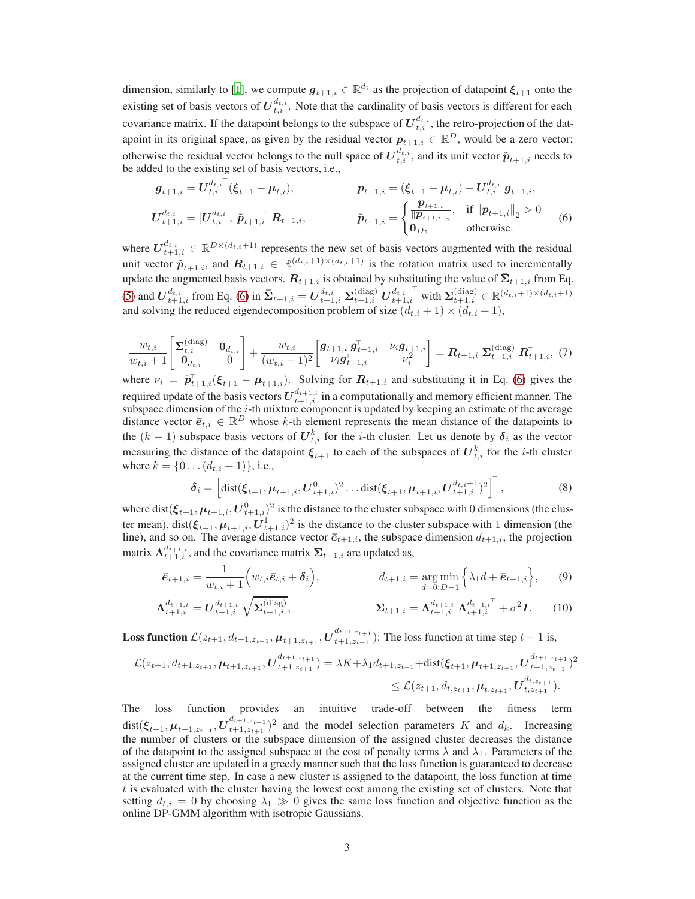dimension, similarly to [\[1](#page-4-4)], we compute  $g_{t+1,i} \in \mathbb{R}^{d_i}$  as the projection of datapoint  $\xi_{t+1}$  onto the existing set of basis vectors of  $U_{t,i}^{d_{t,i}}$ . Note that the cardinality of basis vectors is different for each covariance matrix. If the datapoint belongs to the subspace of  $U_{t,i}^{d_{t,i}}$ , the retro-projection of the datapoint in its original space, as given by the residual vector  $p_{t+1,i} \in \mathbb{R}^D$ , would be a zero vector; otherwise the residual vector belongs to the null space of  $U_{t,i}^{d_{t,i}}$ , and its unit vector  $\tilde{p}_{t+1,i}$  needs to be added to the existing set of basis vectors, i.e.,

<span id="page-2-0"></span>
$$
\mathbf{g}_{t+1,i} = U_{t,i}^{d_{t,i}}(\boldsymbol{\xi}_{t+1} - \boldsymbol{\mu}_{t,i}), \qquad \mathbf{p}_{t+1,i} = (\boldsymbol{\xi}_{t+1} - \boldsymbol{\mu}_{t,i}) - U_{t,i}^{d_{t,i}} \mathbf{g}_{t+1,i},
$$
\n
$$
U_{t+1,i}^{d_{t,i}} = [U_{t,i}^{d_{t,i}}, \tilde{\mathbf{p}}_{t+1,i}] \mathbf{R}_{t+1,i}, \qquad \tilde{\mathbf{p}}_{t+1,i} = \begin{cases} \frac{\mathbf{p}_{t+1,i}}{\|\mathbf{p}_{t+1,i}\|_2}, & \text{if } \|\mathbf{p}_{t+1,i}\|_2 > 0\\ 0_D, & \text{otherwise.} \end{cases}
$$
\n(6)

where  $U_{t+1,i}^{d_{t,i}} \in \mathbb{R}^{D\times(d_{t,i}+1)}$  represents the new set of basis vectors augmented with the residual unit vector  $\tilde{p}_{t+1,i}$ , and  $R_{t+1,i} \in \mathbb{R}^{(d_{t,i}+1)\times(d_{t,i}+1)}$  is the rotation matrix used to incrementally update the augmented basis vectors.  $R_{t+1,i}$  is obtained by substituting the value of  $\bar{\Sigma}_{t+1,i}$  from Eq. [\(5\)](#page-1-2) and  $\boldsymbol{U}^{d_{t,i}}_{t+1,i}$  from Eq. [\(6\)](#page-2-0) in  $\bar{\boldsymbol{\Sigma}}_{t+1,i} = \boldsymbol{U}^{d_{t,i}}_{t+1,i}$   $\boldsymbol{\Sigma}^{(\text{diag})}_{t+1,i}$   $\boldsymbol{U}^{d_{t,i}}_{t+1,i}$  $\sum_{t+1,i}^{\text{diag}} \in \mathbb{R}^{(d_{t,i}+1)\times(d_{t,i}+1)}$ and solving the reduced eigendecomposition problem of size  $(d_{t,i} + 1) \times (d_{t,i} + 1)$ ,

$$
\frac{w_{t,i}}{w_{t,i}+1} \begin{bmatrix} \Sigma_{t,i}^{(\text{diag})} & \mathbf{0}_{d_{t,i}} \\ \mathbf{0}_{d_{t,i}}^{\dagger} & 0 \end{bmatrix} + \frac{w_{t,i}}{(w_{t,i}+1)^2} \begin{bmatrix} \mathbf{g}_{t+1,i} & \mathbf{g}_{t+1,i}^{\top} & \nu_i \mathbf{g}_{t+1,i} \\ \nu_i \mathbf{g}_{t+1,i}^{\top} & \nu_i^2 \end{bmatrix} = \mathbf{R}_{t+1,i} \ \Sigma_{t+1,i}^{(\text{diag})} \ \mathbf{R}_{t+1,i}^{\top}, (7)
$$

where  $\nu_i = \tilde{p}_{t+1,i}^{\top}(\xi_{t+1} - \mu_{t+1,i})$ . Solving for  $R_{t+1,i}$  and substituting it in Eq. [\(6\)](#page-2-0) gives the required update of the basis vectors  $U_{t+1,i}^{d_{t+1,i}}$  in a computationally and memory efficient manner. The subspace dimension of the  $i$ -th mixture component is updated by keeping an estimate of the average distance vector  $\bar{e}_{t,i} \in \mathbb{R}^D$  whose k-th element represents the mean distance of the datapoints to the  $(k-1)$  subspace basis vectors of  $\mathbf{U}_{t,i}^k$  for the *i*-th cluster. Let us denote by  $\boldsymbol{\delta}_i$  as the vector measuring the distance of the datapoint  $\xi_{t+1}$  to each of the subspaces of  $U_{t,i}^k$  for the *i*-th cluster where  $k = \{0 \dots (d_{t,i} + 1)\}\,$ , i.e.,

$$
\delta_i = \left[ \text{dist}(\xi_{t+1}, \mu_{t+1,i}, U_{t+1,i}^0)^2 \dots \text{dist}(\xi_{t+1}, \mu_{t+1,i}, U_{t+1,i}^{d_{t,i}+1})^2 \right]^{\top},\tag{8}
$$

where dist $(\xi_{t+1}, \mu_{t+1,i}, U_{t+1,i}^0)^2$  is the distance to the cluster subspace with 0 dimensions (the cluster mean), dist $(\xi_{t+1}, \mu_{t+1,i}, U_{t+1,i}^1)^2$  is the distance to the cluster subspace with 1 dimension (the line), and so on. The average distance vector  $\bar{e}_{t+1,i}$ , the subspace dimension  $d_{t+1,i}$ , the projection matrix  $\Lambda_{t+1,i}^{d_{t+1,i}}$ , and the covariance matrix  $\Sigma_{t+1,i}$  are updated as,

$$
\bar{e}_{t+1,i} = \frac{1}{w_{t,i}+1} \Big( w_{t,i} \bar{e}_{t,i} + \delta_i \Big), \qquad d_{t+1,i} = \underset{d=0:D-1}{\arg \min} \Big\{ \lambda_1 d + \bar{e}_{t+1,i} \Big\}, \qquad (9)
$$

$$
\Lambda_{t+1,i}^{d_{t+1,i}} = U_{t+1,i}^{d_{t+1,i}} \sqrt{\Sigma_{t+1,i}^{(\text{diag})}}, \qquad \qquad \Sigma_{t+1,i} = \Lambda_{t+1,i}^{d_{t+1,i}} \Lambda_{t+1,i}^{d_{t+1,i}} + \sigma^2 I. \qquad (10)
$$

**Loss function**  $\mathcal{L}(z_{t+1}, d_{t+1,z_{t+1}}, \mu_{t+1,z_{t+1}}, \mathbf{U}_{t+1,z_{t+1}}^{d_{t+1,z_{t+1}}})$ : The loss function at time step  $t+1$  is,

$$
\mathcal{L}(z_{t+1}, d_{t+1, z_{t+1}}, \mu_{t+1, z_{t+1}}, \mathbf{U}_{t+1, z_{t+1}}^{d_{t+1, z_{t+1}}}) = \lambda K + \lambda_1 d_{t+1, z_{t+1}} + \text{dist}(\xi_{t+1}, \mu_{t+1, z_{t+1}}, \mathbf{U}_{t+1, z_{t+1}}^{d_{t+1, z_{t+1}}})^2
$$
  
\$\leq \mathcal{L}(z\_{t+1}, d\_{t, z\_{t+1}}, \mu\_{t, z\_{t+1}}, \mathbf{U}\_{t, z\_{t+1}}^{d\_{t, z\_{t+1}}}).

The loss function provides an intuitive trade-off between the fitness term  $\mathrm{dist}(\bm{\xi}_{t+1}, \bm{\mu}_{t+1,z_{t+1}}, \bm{U}^{d_{t+1,z_{t+1}}}_{t+1,z_{t+1}})$  $\binom{a_{t+1,z_{t+1}}}{t+1,z_{t+1}}^2$  and the model selection parameters K and  $d_k$ . Increasing the number of clusters or the subspace dimension of the assigned cluster decreases the distance of the datapoint to the assigned subspace at the cost of penalty terms  $\lambda$  and  $\lambda_1$ . Parameters of the assigned cluster are updated in a greedy manner such that the loss function is guaranteed to decrease at the current time step. In case a new cluster is assigned to the datapoint, the loss function at time  $t$  is evaluated with the cluster having the lowest cost among the existing set of clusters. Note that setting  $d_{t,i} = 0$  by choosing  $\lambda_1 \gg 0$  gives the same loss function and objective function as the online DP-GMM algorithm with isotropic Gaussians.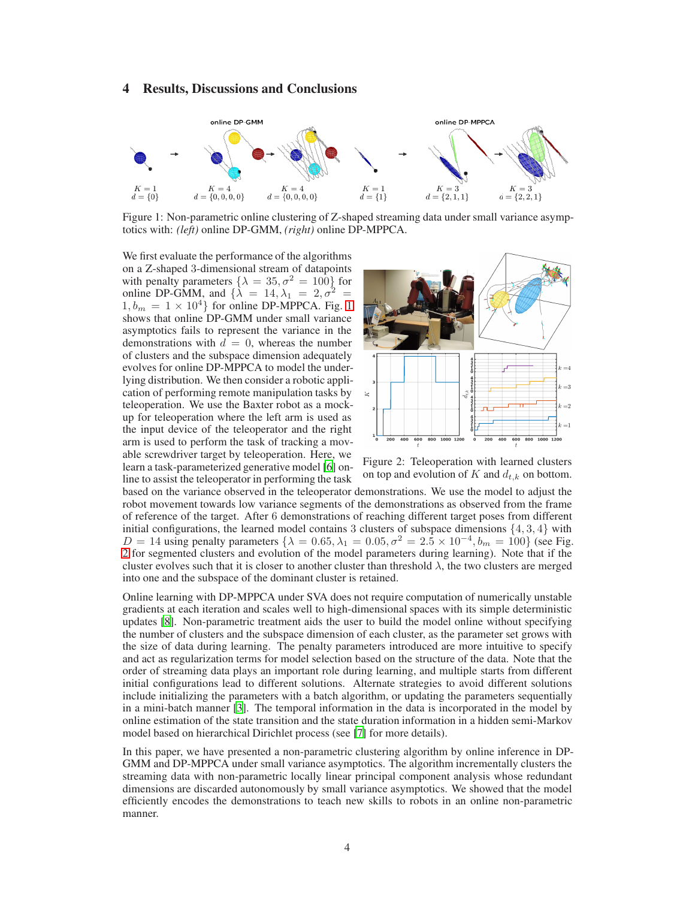## 4 Results, Discussions and Conclusions

<span id="page-3-0"></span>

Figure 1: Non-parametric online clustering of Z-shaped streaming data under small variance asymptotics with: *(left)* online DP-GMM, *(right)* online DP-MPPCA.

We first evaluate the performance of the algorithms on a Z-shaped 3-dimensional stream of datapoints with penalty parameters  $\{\lambda = 35, \sigma^2 = 100\}$  for online DP-GMM, and  $\{\lambda = 14, \lambda_1 = 2, \sigma^2 =$  $1, b_m = 1 \times 10^4$  $1, b_m = 1 \times 10^4$  $1, b_m = 1 \times 10^4$  for online DP-MPPCA. Fig. 1 shows that online DP-GMM under small variance asymptotics fails to represent the variance in the demonstrations with  $d = 0$ , whereas the number of clusters and the subspace dimension adequately evolves for online DP-MPPCA to model the underlying distribution. We then consider a robotic application of performing remote manipulation tasks by teleoperation. We use the Baxter robot as a mockup for teleoperation where the left arm is used as the input device of the teleoperator and the right arm is used to perform the task of tracking a movable screwdriver target by teleoperation. Here, we learn a task-parameterized generative model [\[6\]](#page-4-5) online to assist the teleoperator in performing the task

<span id="page-3-1"></span>

Figure 2: Teleoperation with learned clusters on top and evolution of  $K$  and  $d_{t,k}$  on bottom.

based on the variance observed in the teleoperator demonstrations. We use the model to adjust the robot movement towards low variance segments of the demonstrations as observed from the frame of reference of the target. After 6 demonstrations of reaching different target poses from different initial configurations, the learned model contains 3 clusters of subspace dimensions  $\{4, 3, 4\}$  with D = 14 using penalty parameters  $\{\lambda = 0.65, \lambda_1 = 0.05, \sigma^2 = 2.5 \times 10^{-4}, b_m = 100\}$  (see Fig. [2](#page-3-1) for segmented clusters and evolution of the model parameters during learning). Note that if the cluster evolves such that it is closer to another cluster than threshold  $\lambda$ , the two clusters are merged into one and the subspace of the dominant cluster is retained.

Online learning with DP-MPPCA under SVA does not require computation of numerically unstable gradients at each iteration and scales well to high-dimensional spaces with its simple deterministic updates [\[8](#page-4-6)]. Non-parametric treatment aids the user to build the model online without specifying the number of clusters and the subspace dimension of each cluster, as the parameter set grows with the size of data during learning. The penalty parameters introduced are more intuitive to specify and act as regularization terms for model selection based on the structure of the data. Note that the order of streaming data plays an important role during learning, and multiple starts from different initial configurations lead to different solutions. Alternate strategies to avoid different solutions include initializing the parameters with a batch algorithm, or updating the parameters sequentially in a mini-batch manner [\[3\]](#page-4-7). The temporal information in the data is incorporated in the model by online estimation of the state transition and the state duration information in a hidden semi-Markov model based on hierarchical Dirichlet process (see [\[7\]](#page-4-8) for more details).

In this paper, we have presented a non-parametric clustering algorithm by online inference in DP-GMM and DP-MPPCA under small variance asymptotics. The algorithm incrementally clusters the streaming data with non-parametric locally linear principal component analysis whose redundant dimensions are discarded autonomously by small variance asymptotics. We showed that the model efficiently encodes the demonstrations to teach new skills to robots in an online non-parametric manner.